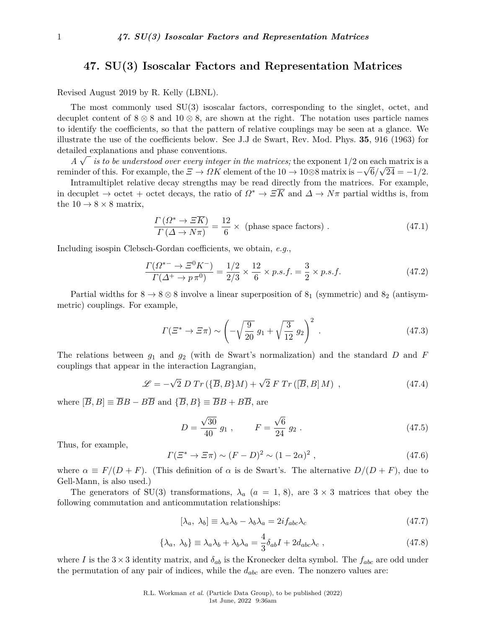## **47. SU(3) Isoscalar Factors and Representation Matrices**

Revised August 2019 by R. Kelly (LBNL).

The most commonly used SU(3) isoscalar factors, corresponding to the singlet, octet, and decuplet content of  $8 \otimes 8$  and  $10 \otimes 8$ , are shown at the right. The notation uses particle names to identify the coefficients, so that the pattern of relative couplings may be seen at a glance. We illustrate the use of the coefficients below. See J.J de Swart, Rev. Mod. Phys. **35**, 916 (1963) for detailed explanations and phase conventions.

 $\overline{A} \sqrt{a}$  is to be understood over every integer in the matrices; the exponent 1/2 on each matrix is a reminder of this. For example, the  $\Xi \to \Omega K$  element of the  $10 \to 10 \otimes 8$  matrix is  $-\sqrt{6}/\sqrt{24} = -1/2$ .

Intramultiplet relative decay strengths may be read directly from the matrices. For example, in decuplet  $\rightarrow$  octet + octet decays, the ratio of  $\Omega^* \rightarrow \Xi \overline{K}$  and  $\Delta \rightarrow N\pi$  partial widths is, from the  $10 \rightarrow 8 \times 8$  matrix,

$$
\frac{\Gamma\left(\Omega^* \to \Xi \overline{K}\right)}{\Gamma\left(\Delta \to N\pi\right)} = \frac{12}{6} \times \text{ (phase space factors)} . \tag{47.1}
$$

Including isospin Clebsch-Gordan coefficients, we obtain, *e.g.*,

$$
\frac{\Gamma(\Omega^{*-} \to \Xi^0 K^-)}{\Gamma(\Delta^+ \to p\pi^0)} = \frac{1/2}{2/3} \times \frac{12}{6} \times p.s.f. = \frac{3}{2} \times p.s.f.
$$
\n(47.2)

Partial widths for  $8 \rightarrow 8 \otimes 8$  involve a linear superposition of  $8<sub>1</sub>$  (symmetric) and  $8<sub>2</sub>$  (antisymmetric) couplings. For example,

$$
\Gamma(\Xi^* \to \Xi \pi) \sim \left(-\sqrt{\frac{9}{20}} g_1 + \sqrt{\frac{3}{12}} g_2\right)^2
$$
 (47.3)

The relations between *g*<sup>1</sup> and *g*<sup>2</sup> (with de Swart's normalization) and the standard *D* and *F* couplings that appear in the interaction Lagrangian,

$$
\mathcal{L} = -\sqrt{2} D Tr (\{\overline{B}, B\}M) + \sqrt{2} F Tr([\overline{B}, B]M) , \qquad (47.4)
$$

where  $[\overline{B}, B] \equiv \overline{B}B - B\overline{B}$  and  $\{\overline{B}, B\} \equiv \overline{B}B + B\overline{B}$ , are

$$
D = \frac{\sqrt{30}}{40} g_1 , \qquad F = \frac{\sqrt{6}}{24} g_2 . \qquad (47.5)
$$

Thus, for example,

$$
\Gamma(\Xi^* \to \Xi \pi) \sim (F - D)^2 \sim (1 - 2\alpha)^2 , \qquad (47.6)
$$

where  $\alpha \equiv F/(D + F)$ . (This definition of  $\alpha$  is de Swart's. The alternative  $D/(D + F)$ , due to Gell-Mann, is also used.)

The generators of SU(3) transformations,  $\lambda_a$  ( $a = 1, 8$ ), are  $3 \times 3$  matrices that obey the following commutation and anticommutation relationships:

$$
[\lambda_a, \lambda_b] \equiv \lambda_a \lambda_b - \lambda_b \lambda_a = 2i f_{abc} \lambda_c \tag{47.7}
$$

$$
\{\lambda_a, \lambda_b\} \equiv \lambda_a \lambda_b + \lambda_b \lambda_a = \frac{4}{3} \delta_{ab} I + 2 d_{abc} \lambda_c \,, \tag{47.8}
$$

where *I* is the  $3 \times 3$  identity matrix, and  $\delta_{ab}$  is the Kronecker delta symbol. The  $f_{abc}$  are odd under the permutation of any pair of indices, while the *dabc* are even. The nonzero values are: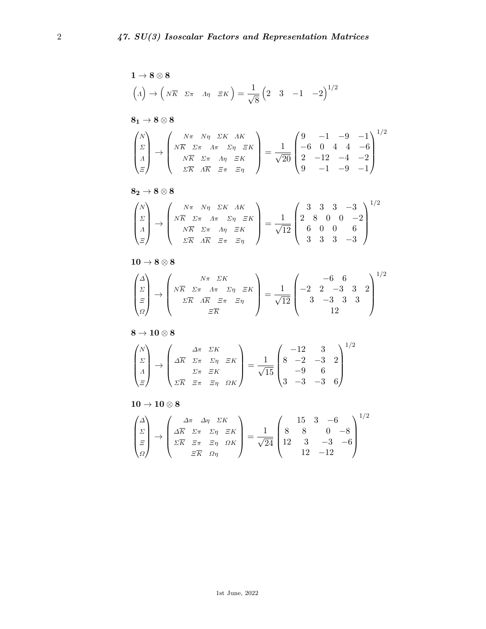$$
1 \rightarrow 8 \otimes 8
$$
\n
$$
(A) \rightarrow \left(N\overline{K} \quad \Sigma \pi \quad A\eta \quad \Xi K\right) = \frac{1}{\sqrt{8}} \left(2 \quad 3 \quad -1 \quad -2\right)^{1/2}
$$
\n
$$
8_1 \rightarrow 8 \otimes 8
$$
\n
$$
\begin{pmatrix} N \\ \Sigma \\ \Lambda \\ \Xi \end{pmatrix} \rightarrow \begin{pmatrix} N\pi & N\eta & \Sigma K & AK \\ N\overline{K} & \Sigma \pi & A\pi & \Sigma \eta & \Xi K \\ N\overline{K} & \Sigma \pi & A\eta & \Xi K \\ \Sigma \overline{K} & A\overline{K} & \Xi \pi & \Xi \eta \end{pmatrix} = \frac{1}{\sqrt{20}} \begin{pmatrix} 9 & -1 & -9 & -1 \\ -6 & 0 & 4 & 4 & -6 \\ 2 & -12 & -4 & -2 \\ 9 & -1 & -9 & -1 \end{pmatrix}^{1/2}
$$

$$
\mathbf{8_2} \rightarrow \mathbf{8} \otimes \mathbf{8}
$$

$$
\begin{pmatrix} N \\ \Sigma \\ \Lambda \\ \Xi \end{pmatrix} \rightarrow \begin{pmatrix} N\pi & N\eta & \Sigma K & \Lambda K \\ N\overline{K} & \Sigma \pi & \Lambda \pi & \Sigma \eta & \Xi K \\ N\overline{K} & \Sigma \pi & \Lambda \eta & \Xi K \\ \Sigma \overline{K} & \Lambda \overline{K} & \Xi \pi & \Xi \eta \end{pmatrix} = \frac{1}{\sqrt{12}} \begin{pmatrix} 3 & 3 & 3 & -3 \\ 2 & 8 & 0 & 0 & -2 \\ 6 & 0 & 0 & 6 \\ 3 & 3 & 3 & -3 \end{pmatrix}^{1/2}
$$

$$
\mathbf{10} \to \mathbf{8} \otimes \mathbf{8}
$$

$$
\begin{pmatrix}\n\Delta \\
\Sigma \\
\Xi \\
\Omega\n\end{pmatrix}\n\rightarrow\n\begin{pmatrix}\nN\pi & \Sigma K \\
N\overline{K} & \Sigma\pi & \Lambda\pi & \Sigma\eta & \Xi K \\
\Sigma \overline{K} & \Lambda \overline{K} & \Xi\pi & \Xi\eta\n\end{pmatrix}\n=\frac{1}{\sqrt{12}}\n\begin{pmatrix}\n-6 & 6 & 0 \\
-2 & 2 & -3 & 3 & 2 \\
3 & -3 & 3 & 3 & 3 \\
12 & & & 12\n\end{pmatrix}^{1/2}
$$

 $8 \rightarrow 10\otimes 8$ 

$$
\begin{pmatrix} N \\ \Sigma \\ \Lambda \\ \Xi \end{pmatrix} \rightarrow \begin{pmatrix} \Delta \pi & \Sigma K \\ \Delta \overline{K} & \Sigma \pi & \Sigma \eta & \Xi K \\ \Sigma \pi & \Xi K & \\ \Sigma \overline{K} & \Xi \pi & \Xi \eta & \Omega K \end{pmatrix} = \frac{1}{\sqrt{15}} \begin{pmatrix} -12 & 3 & 2 \\ 8 & -2 & -3 & 2 \\ -9 & 6 & 0 \\ 3 & -3 & -3 & 6 \end{pmatrix}^{1/2}
$$

## $\mathbf{10} \rightarrow \mathbf{10} \otimes \mathbf{8}$

$$
\begin{pmatrix}\n\Delta \\
\Sigma \\
\Xi \\
\Omega\n\end{pmatrix}\n\rightarrow\n\begin{pmatrix}\n\Delta \pi & \Delta \eta & \Sigma K \\
\Delta \overline{K} & \Sigma \pi & \Sigma \eta & \Xi K \\
\Sigma \overline{K} & \Xi \pi & \Xi \eta & \Omega K \\
\Xi \overline{K} & \Omega \eta\n\end{pmatrix}\n=\n\frac{1}{\sqrt{24}}\n\begin{pmatrix}\n15 & 3 & -6 \\
8 & 8 & 0 & -8 \\
12 & 3 & -3 & -6 \\
12 & -12 & 0\n\end{pmatrix}^{1/2}
$$